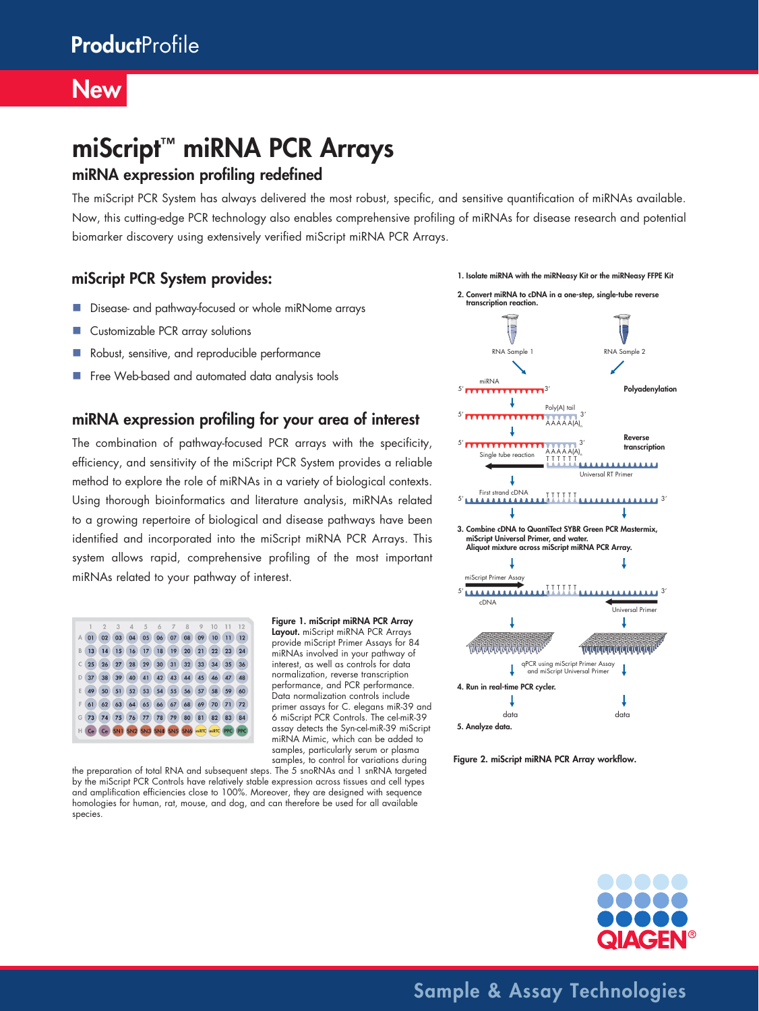### **New**

# miScript™ miRNA PCR Arrays

#### miRNA expression profiling redefined

The miScript PCR System has always delivered the most robust, specific, and sensitive quantification of miRNAs available. Now, this cutting-edge PCR technology also enables comprehensive profiling of miRNAs for disease research and potential biomarker discovery using extensively verified miScript miRNA PCR Arrays.

### miScript PCR System provides:

- Disease- and pathway-focused or whole miRNome arrays
- Customizable PCR array solutions
- Robust, sensitive, and reproducible performance
- Free Web-based and automated data analysis tools

#### miRNA expression profiling for your area of interest

The combination of pathway-focused PCR arrays with the specificity, efficiency, and sensitivity of the miScript PCR System provides a reliable method to explore the role of miRNAs in a variety of biological contexts. Using thorough bioinformatics and literature analysis, miRNAs related to a growing repertoire of biological and disease pathways have been identified and incorporated into the miScript miRNA PCR Arrays. This system allows rapid, comprehensive profiling of the most important miRNAs related to your pathway of interest.



Figure 1. miScript miRNA PCR Array

Layout. miScript miRNA PCR Arrays provide miScript Primer Assays for 84 miRNAs involved in your pathway of interest, as well as controls for data normalization, reverse transcription performance, and PCR performance. Data normalization controls include primer assays for C. elegans miR-39 and 6 miScript PCR Controls. The cel-miR-39 assay detects the Syn-cel-miR-39 miScript miRNA Mimic, which can be added to samples, particularly serum or plasma samples, to control for variations during

the preparation of total RNA and subsequent steps. The 5 snoRNAs and 1 snRNA targeted by the miScript PCR Controls have relatively stable expression across tissues and cell types and amplification efficiencies close to 100%. Moreover, they are designed with sequence homologies for human, rat, mouse, and dog, and can therefore be used for all available species.



Figure 2. miScript miRNA PCR Array workflow.



Sample & Assay Technologies